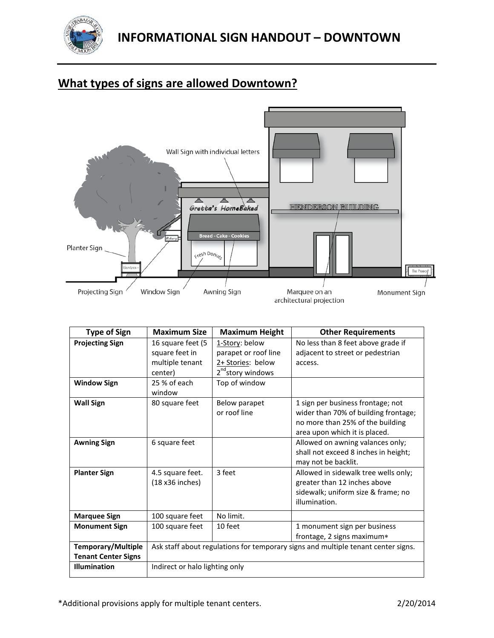

# **What types of signs are allowed Downtown?**



| <b>Type of Sign</b>                                     | <b>Maximum Size</b>                                                               | <b>Maximum Height</b>                                                                        | <b>Other Requirements</b>                                                                                                                      |
|---------------------------------------------------------|-----------------------------------------------------------------------------------|----------------------------------------------------------------------------------------------|------------------------------------------------------------------------------------------------------------------------------------------------|
| <b>Projecting Sign</b>                                  | 16 square feet (5<br>square feet in<br>multiple tenant<br>center)                 | 1-Story: below<br>parapet or roof line<br>2+ Stories: below<br>2 <sup>nd</sup> story windows | No less than 8 feet above grade if<br>adjacent to street or pedestrian<br>access.                                                              |
| <b>Window Sign</b>                                      | 25 % of each<br>window                                                            | Top of window                                                                                |                                                                                                                                                |
| <b>Wall Sign</b>                                        | 80 square feet                                                                    | Below parapet<br>or roof line                                                                | 1 sign per business frontage; not<br>wider than 70% of building frontage;<br>no more than 25% of the building<br>area upon which it is placed. |
| <b>Awning Sign</b>                                      | 6 square feet                                                                     |                                                                                              | Allowed on awning valances only;<br>shall not exceed 8 inches in height;<br>may not be backlit.                                                |
| <b>Planter Sign</b>                                     | 4.5 square feet.<br>(18 x 36 inches)                                              | 3 feet                                                                                       | Allowed in sidewalk tree wells only;<br>greater than 12 inches above<br>sidewalk; uniform size & frame; no<br>illumination.                    |
| <b>Marquee Sign</b>                                     | 100 square feet                                                                   | No limit.                                                                                    |                                                                                                                                                |
| <b>Monument Sign</b>                                    | 100 square feet                                                                   | 10 feet                                                                                      | 1 monument sign per business<br>frontage, 2 signs maximum*                                                                                     |
| <b>Temporary/Multiple</b><br><b>Tenant Center Signs</b> | Ask staff about regulations for temporary signs and multiple tenant center signs. |                                                                                              |                                                                                                                                                |
| <b>Illumination</b>                                     | Indirect or halo lighting only                                                    |                                                                                              |                                                                                                                                                |